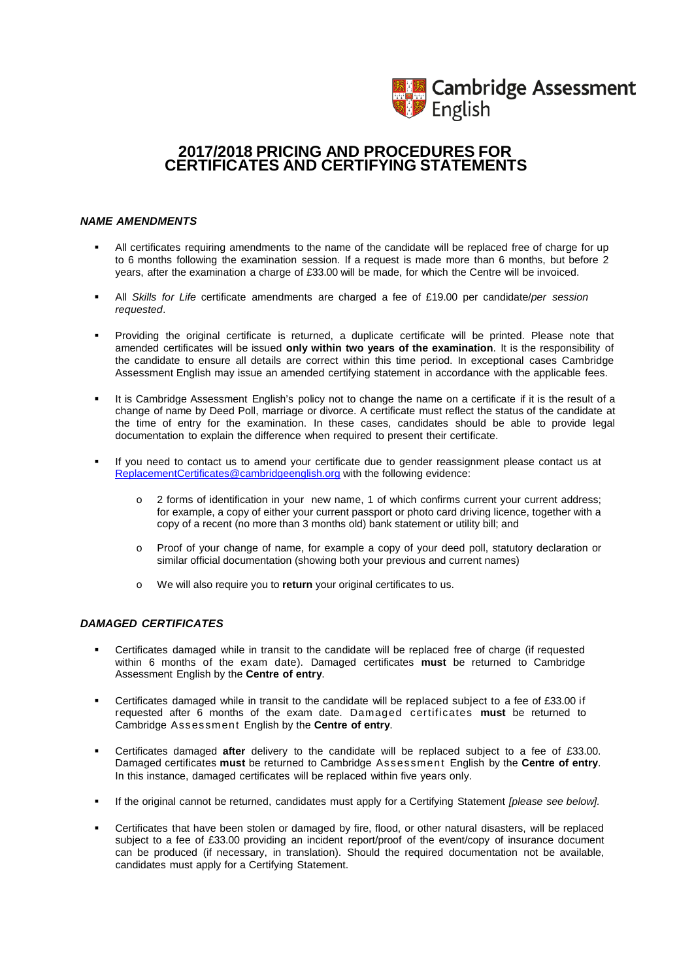

# **2017/2018 PRICING AND PROCEDURES FOR CERTIFICATES AND CERTIFYING STATEMENTS**

#### *NAME AMENDMENTS*

- All certificates requiring amendments to the name of the candidate will be replaced free of charge for up to 6 months following the examination session. If a request is made more than 6 months, but before 2 years, after the examination a charge of £33.00 will be made, for which the Centre will be invoiced.
- All *Skills for Life* certificate amendments are charged a fee of £19.00 per candidate/*per session requested*.
- Providing the original certificate is returned, a duplicate certificate will be printed. Please note that amended certificates will be issued **only within two years of the examination**. It is the responsibility of the candidate to ensure all details are correct within this time period. In exceptional cases Cambridge Assessment English may issue an amended certifying statement in accordance with the applicable fees.
- It is Cambridge Assessment English's policy not to change the name on a certificate if it is the result of a change of name by Deed Poll, marriage or divorce. A certificate must reflect the status of the candidate at the time of entry for the examination. In these cases, candidates should be able to provide legal documentation to explain the difference when required to present their certificate.
- If you need to contact us to amend your certificate due to gender reassignment please contact us at [ReplacementCertificates@cambridgeenglish.org](mailto:ReplacementCertificates@cambridgeenglish.org) with the following evidence:
	- o 2 forms of identification in your new name, 1 of which confirms current your current address; for example, a copy of either your current passport or photo card driving licence, together with a copy of a recent (no more than 3 months old) bank statement or utility bill; and
	- o Proof of your change of name, for example a copy of your deed poll, statutory declaration or similar official documentation (showing both your previous and current names)
	- o We will also require you to **return** your original certificates to us.

### *DAMAGED CERTIFICATES*

- Certificates damaged while in transit to the candidate will be replaced free of charge (if requested within 6 months of the exam date). Damaged certificates **must** be returned to Cambridge Assessment English by the **Centre of entry**.
- Certificates damaged while in transit to the candidate will be replaced subject to a fee of £33.00 if requested after 6 months of the exam date. Damaged certificates **must** be returned to Cambridge Assessment English by the **Centre of entry**.
- Certificates damaged **after** delivery to the candidate will be replaced subject to a fee of £33.00. Damaged certificates **must** be returned to Cambridge Assessment English by the **Centre of entry**. In this instance, damaged certificates will be replaced within five years only.
- If the original cannot be returned, candidates must apply for a Certifying Statement *[please see below].*
- Certificates that have been stolen or damaged by fire, flood, or other natural disasters, will be replaced subject to a fee of £33.00 providing an incident report/proof of the event/copy of insurance document can be produced (if necessary, in translation). Should the required documentation not be available, candidates must apply for a Certifying Statement.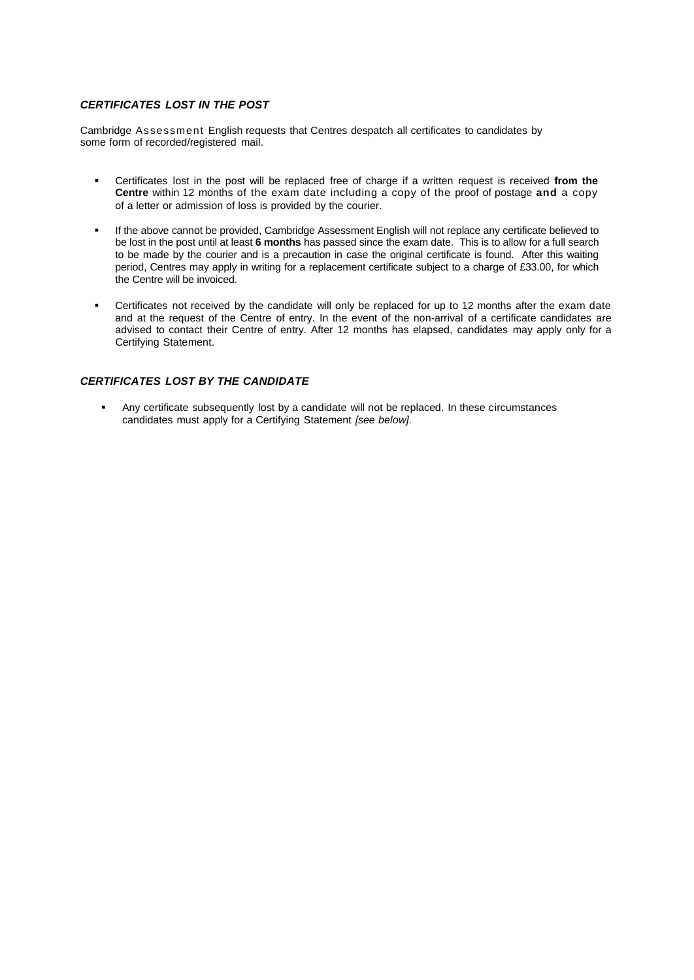### *CERTIFICATES LOST IN THE POST*

Cambridge Assessment English requests that Centres despatch all certificates to candidates by some form of recorded/registered mail.

- Certificates lost in the post will be replaced free of charge if a written request is received **from the Centre** within 12 months of the exam date including a copy of the proof of postage **and** a copy of a letter or admission of loss is provided by the courier.
- If the above cannot be provided, Cambridge Assessment English will not replace any certificate believed to be lost in the post until at least **6 months** has passed since the exam date. This is to allow for a full search to be made by the courier and is a precaution in case the original certificate is found. After this waiting period, Centres may apply in writing for a replacement certificate subject to a charge of £33.00, for which the Centre will be invoiced.
- Certificates not received by the candidate will only be replaced for up to 12 months after the exam date and at the request of the Centre of entry. In the event of the non-arrival of a certificate candidates are advised to contact their Centre of entry. After 12 months has elapsed, candidates may apply only for a Certifying Statement.

### *CERTIFICATES LOST BY THE CANDIDATE*

 Any certificate subsequently lost by a candidate will not be replaced. In these circumstances candidates must apply for a Certifying Statement *[see below].*